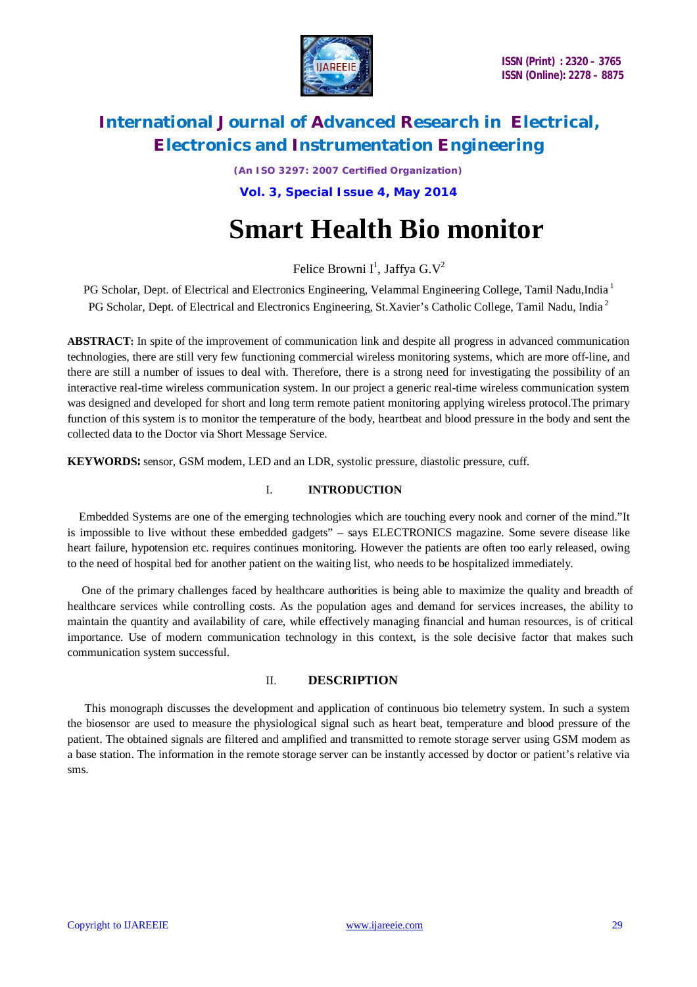

*(An ISO 3297: 2007 Certified Organization)* **Vol. 3, Special Issue 4, May 2014**

# **Smart Health Bio monitor**

Felice Browni I<sup>1</sup>, Jaffya G.V<sup>2</sup>

PG Scholar, Dept. of Electrical and Electronics Engineering, Velammal Engineering College, Tamil Nadu,India<sup>1</sup> PG Scholar, Dept. of Electrical and Electronics Engineering, St.Xavier's Catholic College, Tamil Nadu, India<sup>2</sup>

**ABSTRACT:** In spite of the improvement of communication link and despite all progress in advanced communication technologies, there are still very few functioning commercial wireless monitoring systems, which are more off-line, and there are still a number of issues to deal with. Therefore, there is a strong need for investigating the possibility of an interactive real-time wireless communication system. In our project a generic real-time wireless communication system was designed and developed for short and long term remote patient monitoring applying wireless protocol.The primary function of this system is to monitor the temperature of the body, heartbeat and blood pressure in the body and sent the collected data to the Doctor via Short Message Service.

**KEYWORDS:** sensor, GSM modem, LED and an LDR, systolic pressure, diastolic pressure, cuff.

### I. **INTRODUCTION**

 Embedded Systems are one of the emerging technologies which are touching every nook and corner of the mind."It is impossible to live without these embedded gadgets" – says ELECTRONICS magazine. Some severe disease like heart failure, hypotension etc. requires continues monitoring. However the patients are often too early released, owing to the need of hospital bed for another patient on the waiting list, who needs to be hospitalized immediately.

 One of the primary challenges faced by healthcare authorities is being able to maximize the quality and breadth of healthcare services while controlling costs. As the population ages and demand for services increases, the ability to maintain the quantity and availability of care, while effectively managing financial and human resources, is of critical importance. Use of modern communication technology in this context, is the sole decisive factor that makes such communication system successful.

### II. **DESCRIPTION**

 This monograph discusses the development and application of continuous bio telemetry system. In such a system the biosensor are used to measure the physiological signal such as heart beat, temperature and blood pressure of the patient. The obtained signals are filtered and amplified and transmitted to remote storage server using GSM modem as a base station. The information in the remote storage server can be instantly accessed by doctor or patient's relative via sms.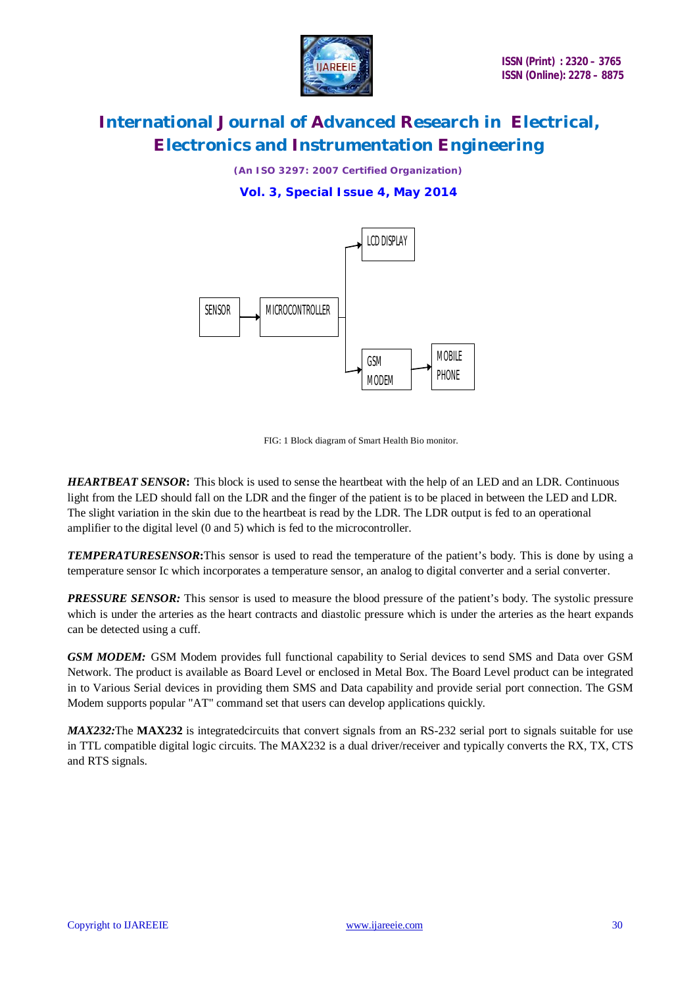

*(An ISO 3297: 2007 Certified Organization)* **Vol. 3, Special Issue 4, May 2014**



FIG: 1 Block diagram of Smart Health Bio monitor.

*HEARTBEAT SENSOR***:** This block is used to sense the heartbeat with the help of an LED and an LDR. Continuous light from the LED should fall on the LDR and the finger of the patient is to be placed in between the LED and LDR. The slight variation in the skin due to the heartbeat is read by the LDR. The LDR output is fed to an operational amplifier to the digital level (0 and 5) which is fed to the microcontroller.

*TEMPERATURESENSOR***:**This sensor is used to read the temperature of the patient's body. This is done by using a temperature sensor Ic which incorporates a temperature sensor, an analog to digital converter and a serial converter.

*PRESSURE SENSOR:* This sensor is used to measure the blood pressure of the patient's body. The systolic pressure which is under the arteries as the heart contracts and diastolic pressure which is under the arteries as the heart expands can be detected using a cuff.

**GSM MODEM:** GSM Modem provides full functional capability to Serial devices to send SMS and Data over GSM Network. The product is available as Board Level or enclosed in Metal Box. The Board Level product can be integrated in to Various Serial devices in providing them SMS and Data capability and provide serial port connection. The GSM Modem supports popular "AT" command set that users can develop applications quickly.

*MAX232:*The MAX232 is integratedcircuits that convert signals from an RS-232 serial port to signals suitable for use in TTL compatible digital logic circuits. The MAX232 is a dual driver/receiver and typically converts the RX, TX, CTS and RTS signals.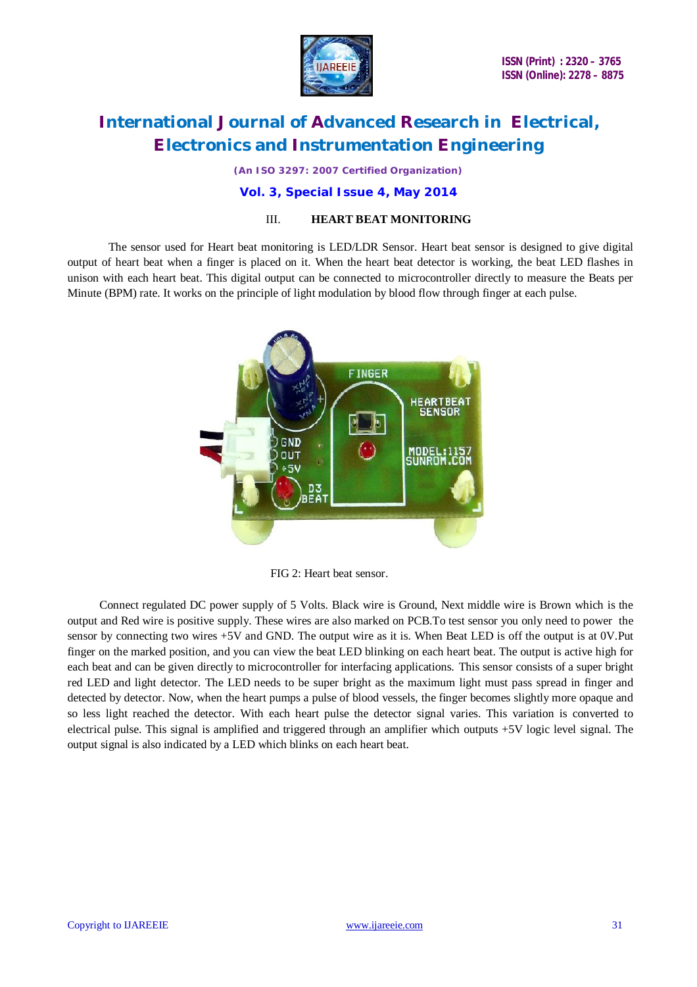

*(An ISO 3297: 2007 Certified Organization)*

#### **Vol. 3, Special Issue 4, May 2014**

#### III. **HEART BEAT MONITORING**

 The sensor used for Heart beat monitoring is LED/LDR Sensor. Heart beat sensor is designed to give digital output of heart beat when a finger is placed on it. When the heart beat detector is working, the beat LED flashes in unison with each heart beat. This digital output can be connected to microcontroller directly to measure the Beats per Minute (BPM) rate. It works on the principle of light modulation by blood flow through finger at each pulse.



FIG 2: Heart beat sensor.

 Connect regulated DC power supply of 5 Volts. Black wire is Ground, Next middle wire is Brown which is the output and Red wire is positive supply. These wires are also marked on PCB.To test sensor you only need to power the sensor by connecting two wires +5V and GND. The output wire as it is. When Beat LED is off the output is at 0V.Put finger on the marked position, and you can view the beat LED blinking on each heart beat. The output is active high for each beat and can be given directly to microcontroller for interfacing applications. This sensor consists of a super bright red LED and light detector. The LED needs to be super bright as the maximum light must pass spread in finger and detected by detector. Now, when the heart pumps a pulse of blood vessels, the finger becomes slightly more opaque and so less light reached the detector. With each heart pulse the detector signal varies. This variation is converted to electrical pulse. This signal is amplified and triggered through an amplifier which outputs +5V logic level signal. The output signal is also indicated by a LED which blinks on each heart beat.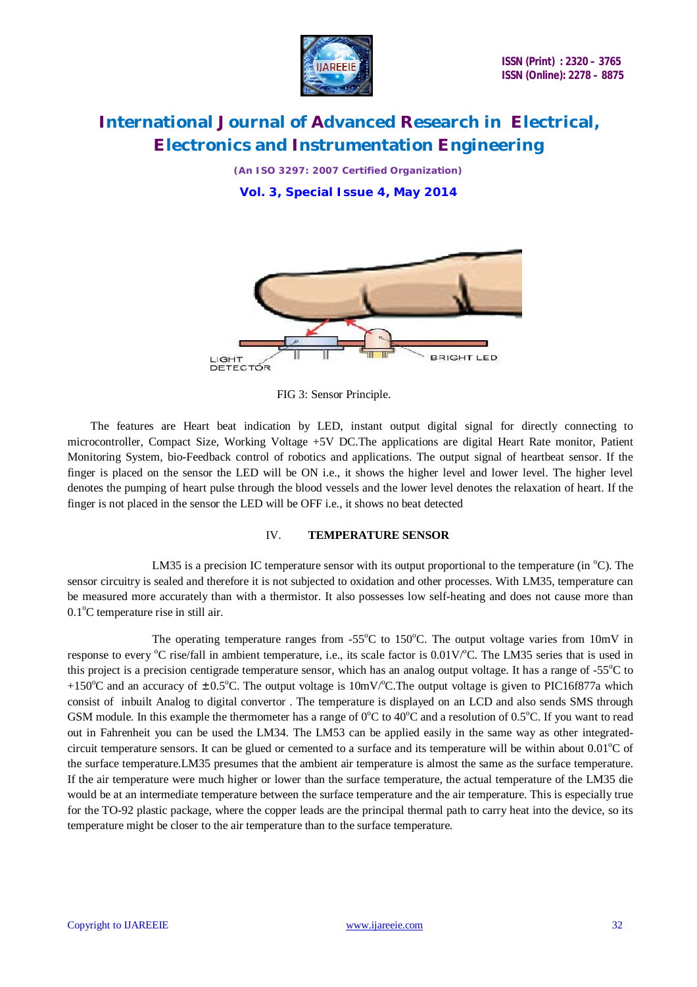

*(An ISO 3297: 2007 Certified Organization)* **Vol. 3, Special Issue 4, May 2014**



FIG 3: Sensor Principle.

 The features are Heart beat indication by LED, instant output digital signal for directly connecting to microcontroller, Compact Size, Working Voltage +5V DC.The applications are digital Heart Rate monitor, Patient Monitoring System, bio-Feedback control of robotics and applications. The output signal of heartbeat sensor. If the finger is placed on the sensor the LED will be ON i.e., it shows the higher level and lower level. The higher level denotes the pumping of heart pulse through the blood vessels and the lower level denotes the relaxation of heart. If the finger is not placed in the sensor the LED will be OFF i.e., it shows no beat detected

#### IV. **TEMPERATURE SENSOR**

LM35 is a precision IC temperature sensor with its output proportional to the temperature (in  $^{\circ}$ C). The sensor circuitry is sealed and therefore it is not subjected to oxidation and other processes. With LM35, temperature can be measured more accurately than with a thermistor. It also possesses low self-heating and does not cause more than  $0.1^{\circ}$ C temperature rise in still air.

The operating temperature ranges from  $-55^{\circ}$ C to 150 $^{\circ}$ C. The output voltage varies from 10mV in response to every  $\rm{^{\circ}C}$  rise/fall in ambient temperature, i.e., its scale factor is 0.01V $\rm{^{\circ}C}$ . The LM35 series that is used in this project is a precision centigrade temperature sensor, which has an analog output voltage. It has a range of  $-55^{\circ}\text{C}$  to +150<sup>o</sup>C and an accuracy of  $\pm 0.5^{\circ}$ C. The output voltage is 10mV/<sup>o</sup>C. The output voltage is given to PIC16f877a which consist of inbuilt Analog to digital convertor . The temperature is displayed on an LCD and also sends SMS through GSM module. In this example the thermometer has a range of  $0^{\circ}C$  to  $40^{\circ}C$  and a resolution of  $0.5^{\circ}C$ . If you want to read out in Fahrenheit you can be used the LM34. The LM53 can be applied easily in the same way as other integratedcircuit temperature sensors. It can be glued or cemented to a surface and its temperature will be within about  $0.01^{\circ}$ C of the surface temperature.LM35 presumes that the ambient air temperature is almost the same as the surface temperature. If the air temperature were much higher or lower than the surface temperature, the actual temperature of the LM35 die would be at an intermediate temperature between the surface temperature and the air temperature. This is especially true for the TO-92 plastic package, where the copper leads are the principal thermal path to carry heat into the device, so its temperature might be closer to the air temperature than to the surface temperature.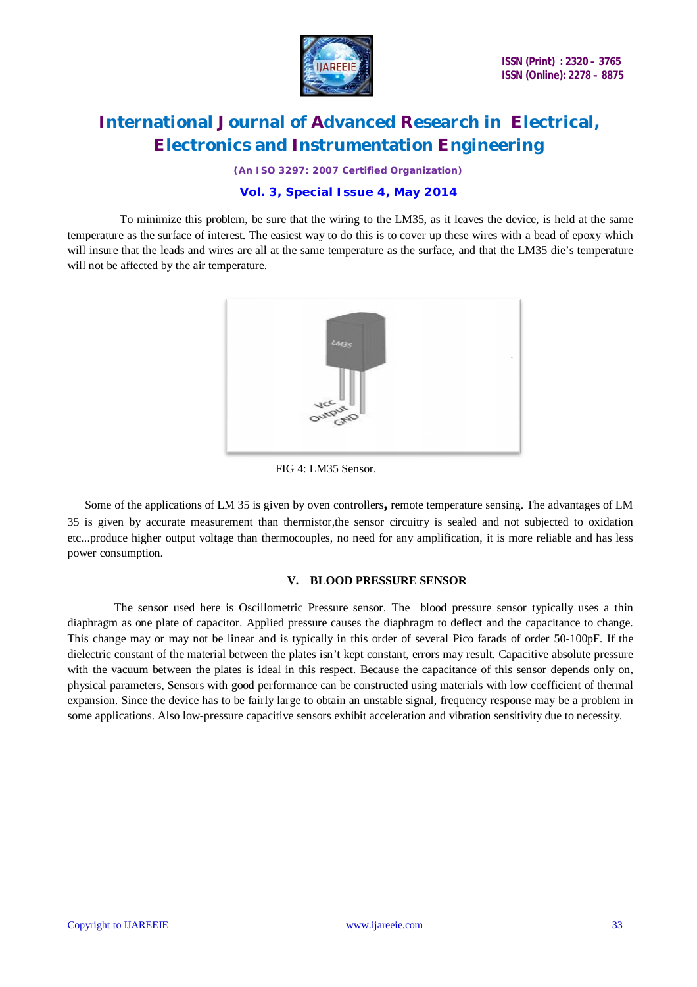

*(An ISO 3297: 2007 Certified Organization)*

#### **Vol. 3, Special Issue 4, May 2014**

 To minimize this problem, be sure that the wiring to the LM35, as it leaves the device, is held at the same temperature as the surface of interest. The easiest way to do this is to cover up these wires with a bead of epoxy which will insure that the leads and wires are all at the same temperature as the surface, and that the LM35 die's temperature will not be affected by the air temperature.



FIG 4: LM35 Sensor.

 Some of the applications of LM 35 is given by oven controllers**,** remote temperature sensing. The advantages of LM 35 is given by accurate measurement than thermistor,the sensor circuitry is sealed and not subjected to oxidation etc...produce higher output voltage than thermocouples, no need for any amplification, it is more reliable and has less power consumption.

#### **V. BLOOD PRESSURE SENSOR**

 The sensor used here is Oscillometric Pressure sensor. The blood pressure sensor typically uses a thin diaphragm as one plate of capacitor. Applied pressure causes the diaphragm to deflect and the capacitance to change. This change may or may not be linear and is typically in this order of several Pico farads of order 50-100pF. If the dielectric constant of the material between the plates isn't kept constant, errors may result. Capacitive absolute pressure with the vacuum between the plates is ideal in this respect. Because the capacitance of this sensor depends only on, physical parameters, Sensors with good performance can be constructed using materials with low coefficient of thermal expansion. Since the device has to be fairly large to obtain an unstable signal, frequency response may be a problem in some applications. Also low-pressure capacitive sensors exhibit acceleration and vibration sensitivity due to necessity.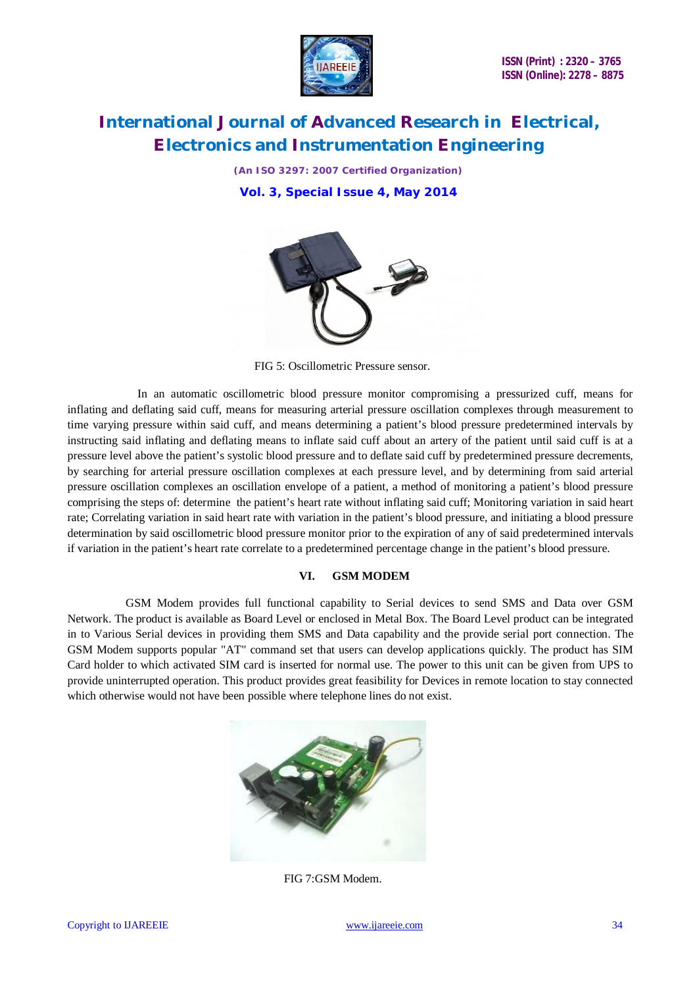

*(An ISO 3297: 2007 Certified Organization)* **Vol. 3, Special Issue 4, May 2014**



FIG 5: Oscillometric Pressure sensor.

 In an automatic oscillometric blood pressure monitor compromising a pressurized cuff, means for inflating and deflating said cuff, means for measuring arterial pressure oscillation complexes through measurement to time varying pressure within said cuff, and means determining a patient's blood pressure predetermined intervals by instructing said inflating and deflating means to inflate said cuff about an artery of the patient until said cuff is at a pressure level above the patient's systolic blood pressure and to deflate said cuff by predetermined pressure decrements, by searching for arterial pressure oscillation complexes at each pressure level, and by determining from said arterial pressure oscillation complexes an oscillation envelope of a patient, a method of monitoring a patient's blood pressure comprising the steps of: determine the patient's heart rate without inflating said cuff; Monitoring variation in said heart rate; Correlating variation in said heart rate with variation in the patient's blood pressure, and initiating a blood pressure determination by said oscillometric blood pressure monitor prior to the expiration of any of said predetermined intervals if variation in the patient's heart rate correlate to a predetermined percentage change in the patient's blood pressure.

#### **VI. GSM MODEM**

 GSM Modem provides full functional capability to Serial devices to send SMS and Data over GSM Network. The product is available as Board Level or enclosed in Metal Box. The Board Level product can be integrated in to Various Serial devices in providing them SMS and Data capability and the provide serial port connection. The GSM Modem supports popular "AT" command set that users can develop applications quickly. The product has SIM Card holder to which activated SIM card is inserted for normal use. The power to this unit can be given from UPS to provide uninterrupted operation. This product provides great feasibility for Devices in remote location to stay connected which otherwise would not have been possible where telephone lines do not exist.



FIG 7:GSM Modem.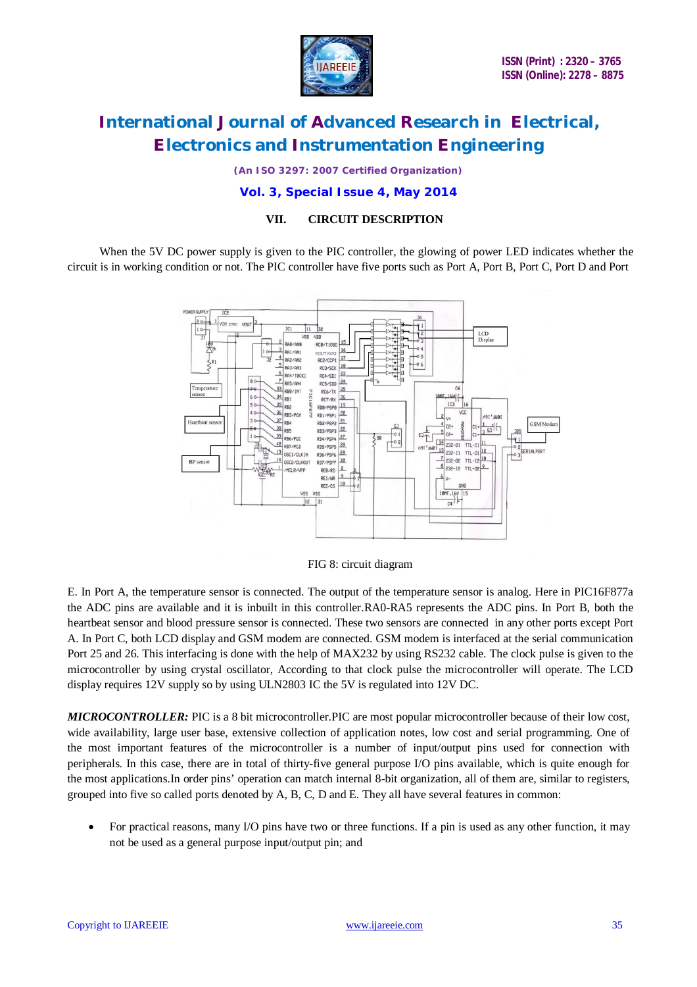

*(An ISO 3297: 2007 Certified Organization)*

#### **Vol. 3, Special Issue 4, May 2014**

### **VII. CIRCUIT DESCRIPTION**

When the 5V DC power supply is given to the PIC controller, the glowing of power LED indicates whether the circuit is in working condition or not. The PIC controller have five ports such as Port A, Port B, Port C, Port D and Port



FIG 8: circuit diagram

E. In Port A, the temperature sensor is connected. The output of the temperature sensor is analog. Here in PIC16F877a the ADC pins are available and it is inbuilt in this controller.RA0-RA5 represents the ADC pins. In Port B, both the heartbeat sensor and blood pressure sensor is connected. These two sensors are connected in any other ports except Port A. In Port C, both LCD display and GSM modem are connected. GSM modem is interfaced at the serial communication Port 25 and 26. This interfacing is done with the help of MAX232 by using RS232 cable. The clock pulse is given to the microcontroller by using crystal oscillator, According to that clock pulse the microcontroller will operate. The LCD display requires 12V supply so by using ULN2803 IC the 5V is regulated into 12V DC.

*MICROCONTROLLER:* PIC is a 8 bit microcontroller.PIC are most popular microcontroller because of their low cost, wide availability, large user base, extensive collection of application notes, low cost and serial programming. One of the most important features of the microcontroller is a number of input/output pins used for connection with peripherals. In this case, there are in total of thirty-five general purpose I/O pins available, which is quite enough for the most applications.In order pins' operation can match internal 8-bit organization, all of them are, similar to registers, grouped into five so called ports denoted by A, B, C, D and E. They all have several features in common:

 For practical reasons, many I/O pins have two or three functions. If a pin is used as any other function, it may not be used as a general purpose input/output pin; and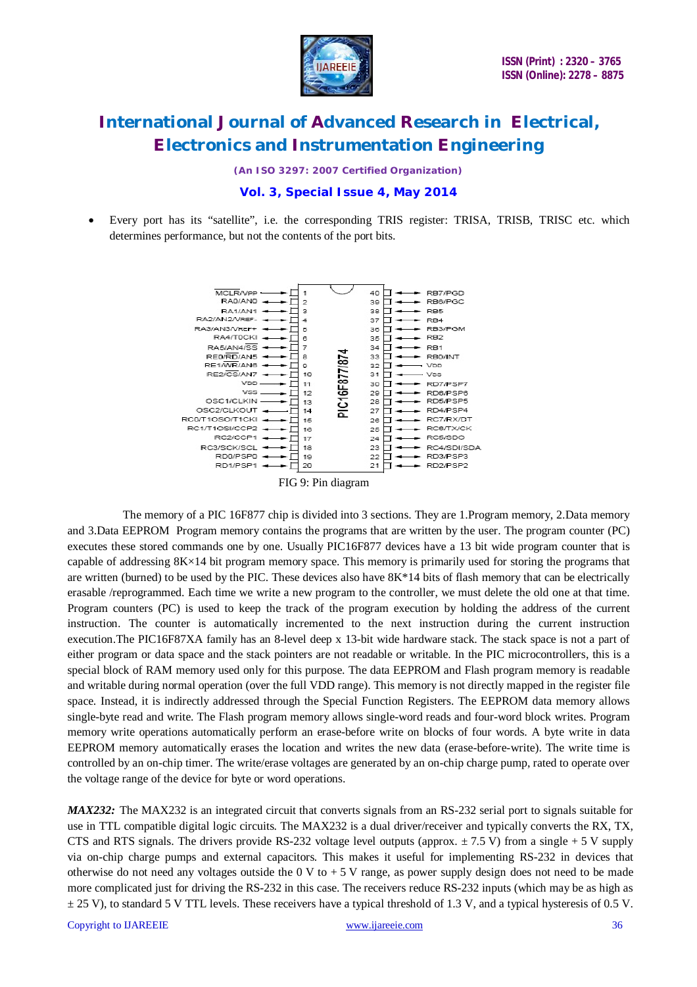

*(An ISO 3297: 2007 Certified Organization)*

### **Vol. 3, Special Issue 4, May 2014**

 Every port has its "satellite", i.e. the corresponding TRIS register: TRISA, TRISB, TRISC etc. which determines performance, but not the contents of the port bits.



FIG 9: Pin diagram

 The memory of a PIC 16F877 chip is divided into 3 sections. They are 1.Program memory, 2.Data memory and 3.Data EEPROM Program memory contains the programs that are written by the user. The program counter (PC) executes these stored commands one by one. Usually PIC16F877 devices have a 13 bit wide program counter that is capable of addressing 8K×14 bit program memory space. This memory is primarily used for storing the programs that are written (burned) to be used by the PIC. These devices also have 8K\*14 bits of flash memory that can be electrically erasable /reprogrammed. Each time we write a new program to the controller, we must delete the old one at that time. Program counters (PC) is used to keep the track of the program execution by holding the address of the current instruction. The counter is automatically incremented to the next instruction during the current instruction execution.The PIC16F87XA family has an 8-level deep x 13-bit wide hardware stack. The stack space is not a part of either program or data space and the stack pointers are not readable or writable. In the PIC microcontrollers, this is a special block of RAM memory used only for this purpose. The data EEPROM and Flash program memory is readable and writable during normal operation (over the full VDD range). This memory is not directly mapped in the register file space. Instead, it is indirectly addressed through the Special Function Registers. The EEPROM data memory allows single-byte read and write. The Flash program memory allows single-word reads and four-word block writes. Program memory write operations automatically perform an erase-before write on blocks of four words. A byte write in data EEPROM memory automatically erases the location and writes the new data (erase-before-write). The write time is controlled by an on-chip timer. The write/erase voltages are generated by an on-chip charge pump, rated to operate over the voltage range of the device for byte or word operations.

*MAX232*: The MAX232 is an integrated circuit that converts signals from an RS-232 serial port to signals suitable for use in TTL compatible digital logic circuits. The MAX232 is a dual driver/receiver and typically converts the RX, TX, CTS and RTS signals. The drivers provide RS-232 voltage level outputs (approx.  $\pm$  7.5 V) from a single + 5 V supply via on-chip charge pumps and external capacitors. This makes it useful for implementing RS-232 in devices that otherwise do not need any voltages outside the  $0 \text{ V}$  to  $+5 \text{ V}$  range, as power supply design does not need to be made more complicated just for driving the RS-232 in this case. The receivers reduce RS-232 inputs (which may be as high as  $\pm$  25 V), to standard 5 V TTL levels. These receivers have a typical threshold of 1.3 V, and a typical hysteresis of 0.5 V.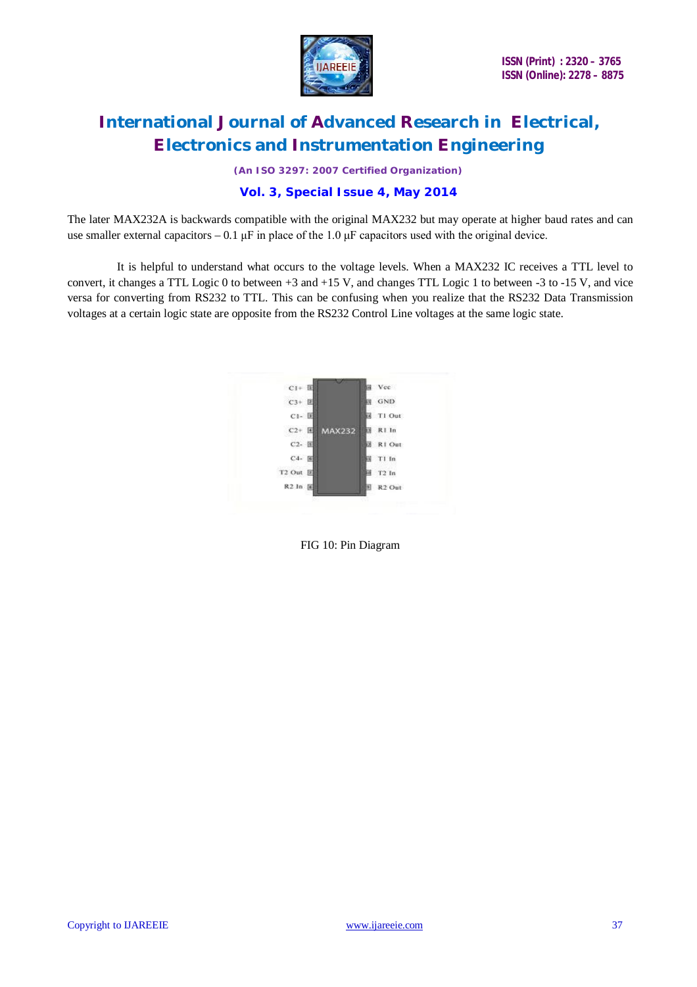

*(An ISO 3297: 2007 Certified Organization)*

### **Vol. 3, Special Issue 4, May 2014**

The later MAX232A is backwards compatible with the original MAX232 but may operate at higher baud rates and can use smaller external capacitors –  $0.1 \mu$ F in place of the 1.0  $\mu$ F capacitors used with the original device.

 It is helpful to understand what occurs to the voltage levels. When a MAX232 IC receives a TTL level to convert, it changes a TTL Logic 0 to between +3 and +15 V, and changes TTL Logic 1 to between -3 to -15 V, and vice versa for converting from RS232 to TTL. This can be confusing when you realize that the RS232 Data Transmission voltages at a certain logic state are opposite from the RS232 Control Line voltages at the same logic state.

| $CI + E$  |               | Vcc                |
|-----------|---------------|--------------------|
| $C3+ E$   |               | GND                |
| $C1 - E$  |               | T1 Out             |
| $C2+E$    | <b>MAX232</b> | R1 In              |
| C2- 国     |               | R1 Out             |
| $C4 - E$  |               | T1 In              |
| T2 Out 区  |               | $T2$ In            |
| R2 In [6] |               | R <sub>2</sub> Out |

FIG 10: Pin Diagram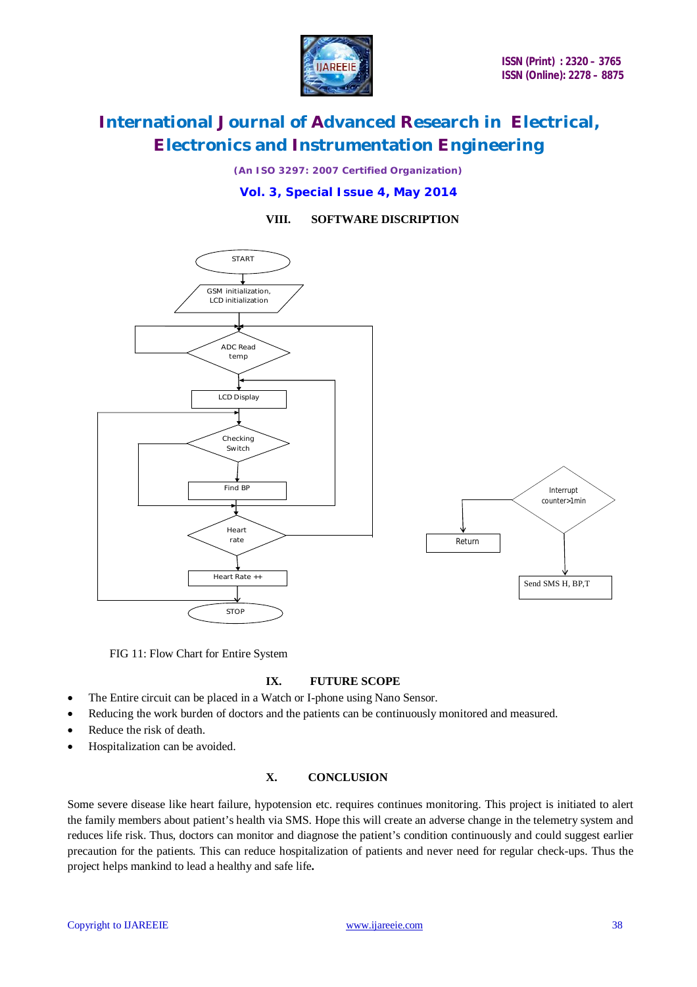

*(An ISO 3297: 2007 Certified Organization)*

**Vol. 3, Special Issue 4, May 2014**

**VIII. SOFTWARE DISCRIPTION**



FIG 11: Flow Chart for Entire System

#### **IX. FUTURE SCOPE**

- The Entire circuit can be placed in a Watch or I-phone using Nano Sensor.
- Reducing the work burden of doctors and the patients can be continuously monitored and measured.
- Reduce the risk of death.
- Hospitalization can be avoided.

### **X. CONCLUSION**

Some severe disease like heart failure, hypotension etc. requires continues monitoring. This project is initiated to alert the family members about patient's health via SMS. Hope this will create an adverse change in the telemetry system and reduces life risk. Thus, doctors can monitor and diagnose the patient's condition continuously and could suggest earlier precaution for the patients. This can reduce hospitalization of patients and never need for regular check-ups. Thus the project helps mankind to lead a healthy and safe life**.**